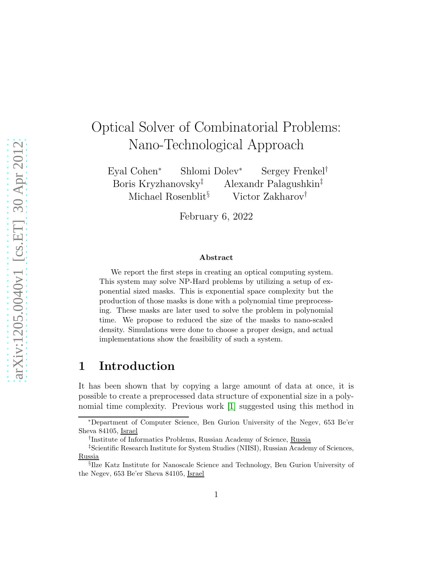# Optical Solver of Combinatorial Problems: Nano-Technological Approach

Eyal Cohen<sup>∗</sup> Shlomi Dolev<sup>∗</sup> Sergey Frenkel† Boris Kryzhanovsky‡ Alexandr Palagushkin‡ Michael Rosenblit<sup>§</sup> Victor Zakharov<sup>†</sup>

February 6, 2022

#### Abstract

We report the first steps in creating an optical computing system. This system may solve NP-Hard problems by utilizing a setup of exponential sized masks. This is exponential space complexity but the production of those masks is done with a polynomial time preprocessing. These masks are later used to solve the problem in polynomial time. We propose to reduced the size of the masks to nano-scaled density. Simulations were done to choose a proper design, and actual implementations show the feasibility of such a system.

## 1 Introduction

It has been shown that by copying a large amount of data at once, it is possible to create a preprocessed data structure of exponential size in a polynomial time complexity. Previous work [\[1\]](#page-16-0) suggested using this method in

<sup>∗</sup>Department of Computer Science, Ben Gurion University of the Negev, 653 Be'er Sheva 84105, Israel

<sup>&</sup>lt;sup>†</sup>Institute of Informatics Problems, Russian Academy of Science, <u>Russia</u>

<sup>‡</sup>Scientific Research Institute for System Studies (NIISI), Russian Academy of Sciences, Russia

<sup>§</sup> Ilze Katz Institute for Nanoscale Science and Technology, Ben Gurion University of the Negev, 653 Be'er Sheva 84105, Israel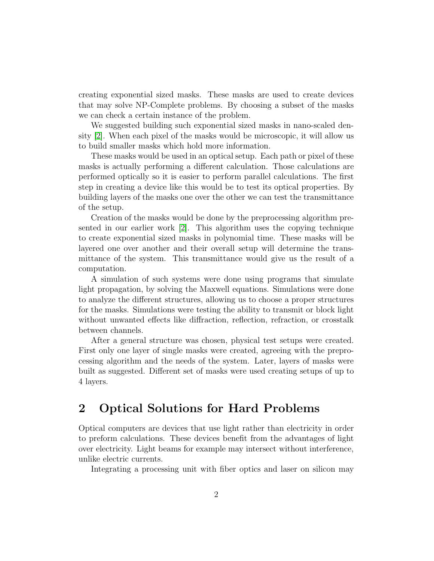creating exponential sized masks. These masks are used to create devices that may solve NP-Complete problems. By choosing a subset of the masks we can check a certain instance of the problem.

We suggested building such exponential sized masks in nano-scaled density [\[2\]](#page-16-1). When each pixel of the masks would be microscopic, it will allow us to build smaller masks which hold more information.

These masks would be used in an optical setup. Each path or pixel of these masks is actually performing a different calculation. Those calculations are performed optically so it is easier to perform parallel calculations. The first step in creating a device like this would be to test its optical properties. By building layers of the masks one over the other we can test the transmittance of the setup.

Creation of the masks would be done by the preprocessing algorithm presented in our earlier work [\[2\]](#page-16-1). This algorithm uses the copying technique to create exponential sized masks in polynomial time. These masks will be layered one over another and their overall setup will determine the transmittance of the system. This transmittance would give us the result of a computation.

A simulation of such systems were done using programs that simulate light propagation, by solving the Maxwell equations. Simulations were done to analyze the different structures, allowing us to choose a proper structures for the masks. Simulations were testing the ability to transmit or block light without unwanted effects like diffraction, reflection, refraction, or crosstalk between channels.

After a general structure was chosen, physical test setups were created. First only one layer of single masks were created, agreeing with the preprocessing algorithm and the needs of the system. Later, layers of masks were built as suggested. Different set of masks were used creating setups of up to 4 layers.

## 2 Optical Solutions for Hard Problems

Optical computers are devices that use light rather than electricity in order to preform calculations. These devices benefit from the advantages of light over electricity. Light beams for example may intersect without interference, unlike electric currents.

Integrating a processing unit with fiber optics and laser on silicon may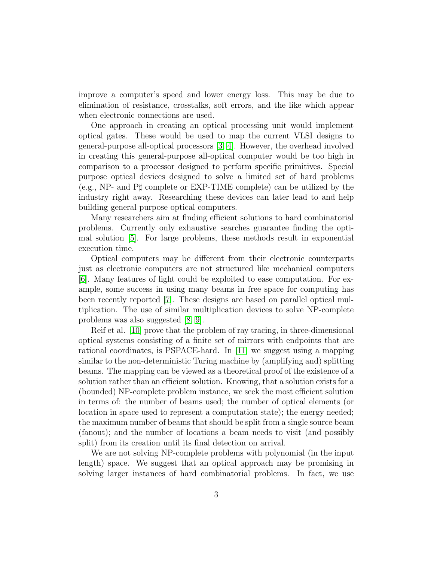improve a computer's speed and lower energy loss. This may be due to elimination of resistance, crosstalks, soft errors, and the like which appear when electronic connections are used.

One approach in creating an optical processing unit would implement optical gates. These would be used to map the current VLSI designs to general-purpose all-optical processors [\[3,](#page-16-2) [4\]](#page-16-3). However, the overhead involved in creating this general-purpose all-optical computer would be too high in comparison to a processor designed to perform specific primitives. Special purpose optical devices designed to solve a limited set of hard problems (e.g., NP- and P♯ complete or EXP-TIME complete) can be utilized by the industry right away. Researching these devices can later lead to and help building general purpose optical computers.

Many researchers aim at finding efficient solutions to hard combinatorial problems. Currently only exhaustive searches guarantee finding the optimal solution [\[5\]](#page-16-4). For large problems, these methods result in exponential execution time.

Optical computers may be different from their electronic counterparts just as electronic computers are not structured like mechanical computers [\[6\]](#page-16-5). Many features of light could be exploited to ease computation. For example, some success in using many beams in free space for computing has been recently reported [\[7\]](#page-16-6). These designs are based on parallel optical multiplication. The use of similar multiplication devices to solve NP-complete problems was also suggested [\[8,](#page-16-7) [9\]](#page-16-8).

Reif et al. [\[10\]](#page-16-9) prove that the problem of ray tracing, in three-dimensional optical systems consisting of a finite set of mirrors with endpoints that are rational coordinates, is PSPACE-hard. In [\[11\]](#page-17-0) we suggest using a mapping similar to the non-deterministic Turing machine by (amplifying and) splitting beams. The mapping can be viewed as a theoretical proof of the existence of a solution rather than an efficient solution. Knowing, that a solution exists for a (bounded) NP-complete problem instance, we seek the most efficient solution in terms of: the number of beams used; the number of optical elements (or location in space used to represent a computation state); the energy needed; the maximum number of beams that should be split from a single source beam (fanout); and the number of locations a beam needs to visit (and possibly split) from its creation until its final detection on arrival.

We are not solving NP-complete problems with polynomial (in the input length) space. We suggest that an optical approach may be promising in solving larger instances of hard combinatorial problems. In fact, we use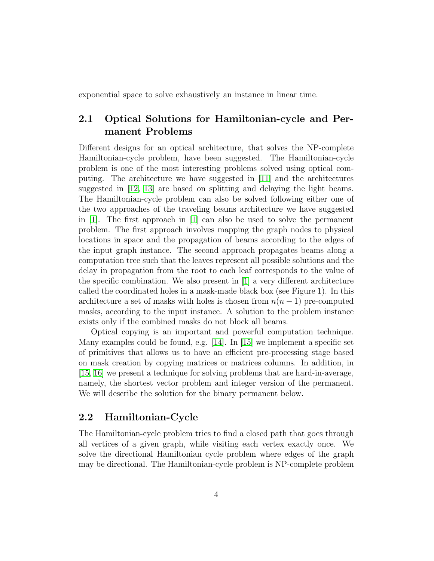exponential space to solve exhaustively an instance in linear time.

## 2.1 Optical Solutions for Hamiltonian-cycle and Permanent Problems

Different designs for an optical architecture, that solves the NP-complete Hamiltonian-cycle problem, have been suggested. The Hamiltonian-cycle problem is one of the most interesting problems solved using optical computing. The architecture we have suggested in [\[11\]](#page-17-0) and the architectures suggested in [\[12,](#page-17-1) [13\]](#page-17-2) are based on splitting and delaying the light beams. The Hamiltonian-cycle problem can also be solved following either one of the two approaches of the traveling beams architecture we have suggested in [\[1\]](#page-16-0). The first approach in [\[1\]](#page-16-0) can also be used to solve the permanent problem. The first approach involves mapping the graph nodes to physical locations in space and the propagation of beams according to the edges of the input graph instance. The second approach propagates beams along a computation tree such that the leaves represent all possible solutions and the delay in propagation from the root to each leaf corresponds to the value of the specific combination. We also present in  $[1]$  a very different architecture called the coordinated holes in a mask-made black box (see Figure 1). In this architecture a set of masks with holes is chosen from  $n(n-1)$  pre-computed masks, according to the input instance. A solution to the problem instance exists only if the combined masks do not block all beams.

Optical copying is an important and powerful computation technique. Many examples could be found, e.g. [\[14\]](#page-17-3). In [\[15\]](#page-17-4) we implement a specific set of primitives that allows us to have an efficient pre-processing stage based on mask creation by copying matrices or matrices columns. In addition, in [\[15,](#page-17-4) [16\]](#page-17-5) we present a technique for solving problems that are hard-in-average, namely, the shortest vector problem and integer version of the permanent. We will describe the solution for the binary permanent below.

### 2.2 Hamiltonian-Cycle

The Hamiltonian-cycle problem tries to find a closed path that goes through all vertices of a given graph, while visiting each vertex exactly once. We solve the directional Hamiltonian cycle problem where edges of the graph may be directional. The Hamiltonian-cycle problem is NP-complete problem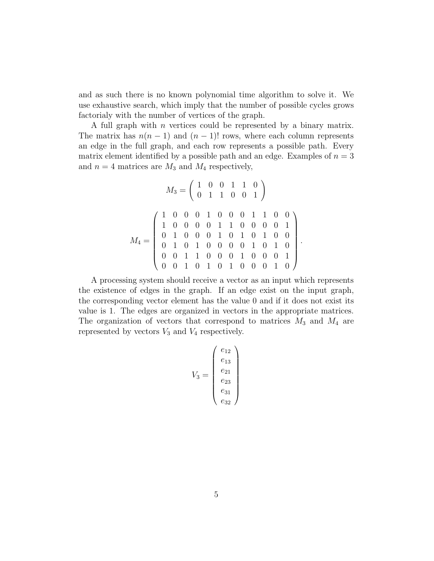and as such there is no known polynomial time algorithm to solve it. We use exhaustive search, which imply that the number of possible cycles grows factorialy with the number of vertices of the graph.

A full graph with  $n$  vertices could be represented by a binary matrix. The matrix has  $n(n-1)$  and  $(n-1)!$  rows, where each column represents an edge in the full graph, and each row represents a possible path. Every matrix element identified by a possible path and an edge. Examples of  $n = 3$ and  $n = 4$  matrices are  $M_3$  and  $M_4$  respectively,

$$
M_3 = \left(\begin{array}{rrrrrr} 1 & 0 & 0 & 1 & 1 & 0 \\ 0 & 1 & 1 & 0 & 0 & 1 \end{array}\right)
$$

$$
M_4 = \left(\begin{array}{rrrrrr} 1 & 0 & 0 & 0 & 1 & 0 & 0 & 0 & 1 & 1 & 0 & 0 \\ 1 & 0 & 0 & 0 & 0 & 1 & 1 & 0 & 0 & 0 & 0 & 1 \\ 0 & 1 & 0 & 0 & 0 & 1 & 0 & 1 & 0 & 1 & 0 & 0 \\ 0 & 0 & 1 & 1 & 0 & 0 & 0 & 0 & 1 & 0 & 1 & 0 \\ 0 & 0 & 1 & 0 & 1 & 0 & 1 & 0 & 0 & 0 & 1 & 0 \end{array}\right)
$$

.

A processing system should receive a vector as an input which represents the existence of edges in the graph. If an edge exist on the input graph, the corresponding vector element has the value 0 and if it does not exist its value is 1. The edges are organized in vectors in the appropriate matrices. The organization of vectors that correspond to matrices  $M_3$  and  $M_4$  are represented by vectors  $V_3$  and  $V_4$  respectively.

$$
V_3 = \begin{pmatrix} e_{12} \\ e_{13} \\ e_{21} \\ e_{23} \\ e_{31} \\ e_{32} \end{pmatrix}
$$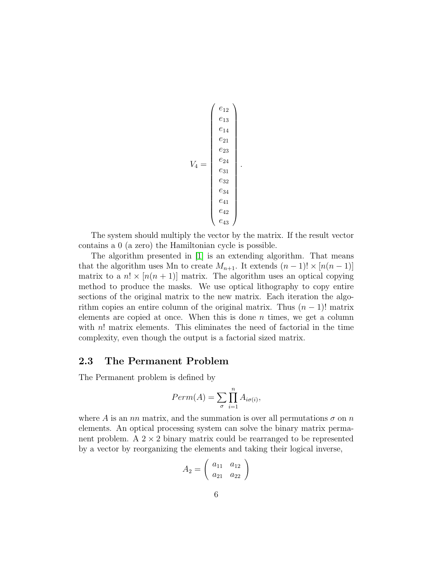$$
V_4 = \begin{pmatrix} e_{12} \\ e_{13} \\ e_{14} \\ e_{21} \\ e_{23} \\ e_{31} \\ e_{32} \\ e_{34} \\ e_{41} \\ e_{42} \\ e_{43} \end{pmatrix}.
$$

The system should multiply the vector by the matrix. If the result vector contains a 0 (a zero) the Hamiltonian cycle is possible.

The algorithm presented in [\[1\]](#page-16-0) is an extending algorithm. That means that the algorithm uses Mn to create  $M_{n+1}$ . It extends  $(n-1)! \times [n(n-1)]$ matrix to a  $n! \times [n(n+1)]$  matrix. The algorithm uses an optical copying method to produce the masks. We use optical lithography to copy entire sections of the original matrix to the new matrix. Each iteration the algorithm copies an entire column of the original matrix. Thus  $(n-1)!$  matrix elements are copied at once. When this is done  $n$  times, we get a column with n! matrix elements. This eliminates the need of factorial in the time complexity, even though the output is a factorial sized matrix.

### 2.3 The Permanent Problem

The Permanent problem is defined by

$$
Perm(A) = \sum_{\sigma} \prod_{i=1}^{n} A_{i\sigma(i)},
$$

where A is an nn matrix, and the summation is over all permutations  $\sigma$  on n elements. An optical processing system can solve the binary matrix permanent problem. A  $2 \times 2$  binary matrix could be rearranged to be represented by a vector by reorganizing the elements and taking their logical inverse,

$$
A_2 = \left(\begin{array}{cc} a_{11} & a_{12} \\ a_{21} & a_{22} \end{array}\right)
$$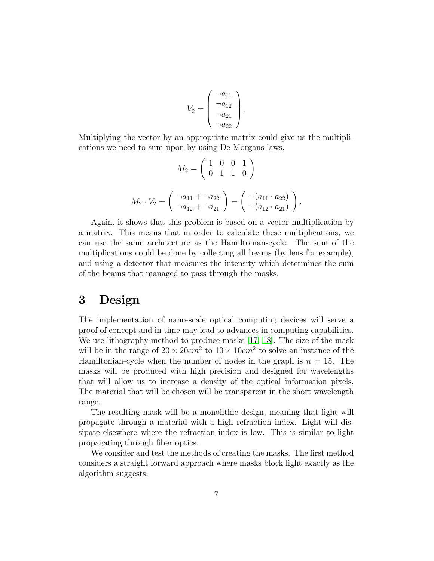$$
V_2 = \begin{pmatrix} \neg a_{11} \\ \neg a_{12} \\ \neg a_{21} \\ \neg a_{22} \end{pmatrix}.
$$

Multiplying the vector by an appropriate matrix could give us the multiplications we need to sum upon by using De Morgans laws,

$$
M_2 = \begin{pmatrix} 1 & 0 & 0 & 1 \\ 0 & 1 & 1 & 0 \end{pmatrix}
$$

$$
M_2 \cdot V_2 = \begin{pmatrix} -a_{11} + -a_{22} \\ -a_{12} + -a_{21} \end{pmatrix} = \begin{pmatrix} -a_{11} \cdot a_{22} \\ -a_{12} \cdot a_{21} \end{pmatrix}
$$

.

Again, it shows that this problem is based on a vector multiplication by a matrix. This means that in order to calculate these multiplications, we can use the same architecture as the Hamiltonian-cycle. The sum of the multiplications could be done by collecting all beams (by lens for example), and using a detector that measures the intensity which determines the sum of the beams that managed to pass through the masks.

### 3 Design

The implementation of nano-scale optical computing devices will serve a proof of concept and in time may lead to advances in computing capabilities. We use lithography method to produce masks [\[17,](#page-17-6) [18\]](#page-17-7). The size of the mask will be in the range of  $20 \times 20 \text{cm}^2$  to  $10 \times 10 \text{cm}^2$  to solve an instance of the Hamiltonian-cycle when the number of nodes in the graph is  $n = 15$ . The masks will be produced with high precision and designed for wavelengths that will allow us to increase a density of the optical information pixels. The material that will be chosen will be transparent in the short wavelength range.

The resulting mask will be a monolithic design, meaning that light will propagate through a material with a high refraction index. Light will dissipate elsewhere where the refraction index is low. This is similar to light propagating through fiber optics.

We consider and test the methods of creating the masks. The first method considers a straight forward approach where masks block light exactly as the algorithm suggests.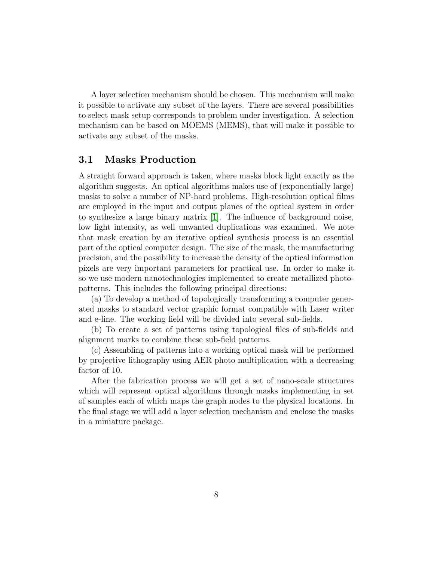A layer selection mechanism should be chosen. This mechanism will make it possible to activate any subset of the layers. There are several possibilities to select mask setup corresponds to problem under investigation. A selection mechanism can be based on MOEMS (MEMS), that will make it possible to activate any subset of the masks.

#### 3.1 Masks Production

A straight forward approach is taken, where masks block light exactly as the algorithm suggests. An optical algorithms makes use of (exponentially large) masks to solve a number of NP-hard problems. High-resolution optical films are employed in the input and output planes of the optical system in order to synthesize a large binary matrix [\[1\]](#page-16-0). The influence of background noise, low light intensity, as well unwanted duplications was examined. We note that mask creation by an iterative optical synthesis process is an essential part of the optical computer design. The size of the mask, the manufacturing precision, and the possibility to increase the density of the optical information pixels are very important parameters for practical use. In order to make it so we use modern nanotechnologies implemented to create metallized photopatterns. This includes the following principal directions:

(a) To develop a method of topologically transforming a computer generated masks to standard vector graphic format compatible with Laser writer and e-line. The working field will be divided into several sub-fields.

(b) To create a set of patterns using topological files of sub-fields and alignment marks to combine these sub-field patterns.

(c) Assembling of patterns into a working optical mask will be performed by projective lithography using AER photo multiplication with a decreasing factor of 10.

After the fabrication process we will get a set of nano-scale structures which will represent optical algorithms through masks implementing in set of samples each of which maps the graph nodes to the physical locations. In the final stage we will add a layer selection mechanism and enclose the masks in a miniature package.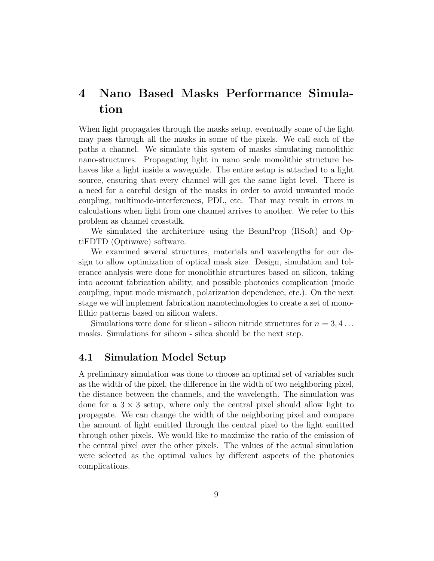## 4 Nano Based Masks Performance Simulation

When light propagates through the masks setup, eventually some of the light may pass through all the masks in some of the pixels. We call each of the paths a channel. We simulate this system of masks simulating monolithic nano-structures. Propagating light in nano scale monolithic structure behaves like a light inside a waveguide. The entire setup is attached to a light source, ensuring that every channel will get the same light level. There is a need for a careful design of the masks in order to avoid unwanted mode coupling, multimode-interferences, PDL, etc. That may result in errors in calculations when light from one channel arrives to another. We refer to this problem as channel crosstalk.

We simulated the architecture using the BeamProp (RSoft) and OptiFDTD (Optiwave) software.

We examined several structures, materials and wavelengths for our design to allow optimization of optical mask size. Design, simulation and tolerance analysis were done for monolithic structures based on silicon, taking into account fabrication ability, and possible photonics complication (mode coupling, input mode mismatch, polarization dependence, etc.). On the next stage we will implement fabrication nanotechnologies to create a set of monolithic patterns based on silicon wafers.

Simulations were done for silicon - silicon nitride structures for  $n = 3, 4...$ masks. Simulations for silicon - silica should be the next step.

### 4.1 Simulation Model Setup

A preliminary simulation was done to choose an optimal set of variables such as the width of the pixel, the difference in the width of two neighboring pixel, the distance between the channels, and the wavelength. The simulation was done for a  $3 \times 3$  setup, where only the central pixel should allow light to propagate. We can change the width of the neighboring pixel and compare the amount of light emitted through the central pixel to the light emitted through other pixels. We would like to maximize the ratio of the emission of the central pixel over the other pixels. The values of the actual simulation were selected as the optimal values by different aspects of the photonics complications.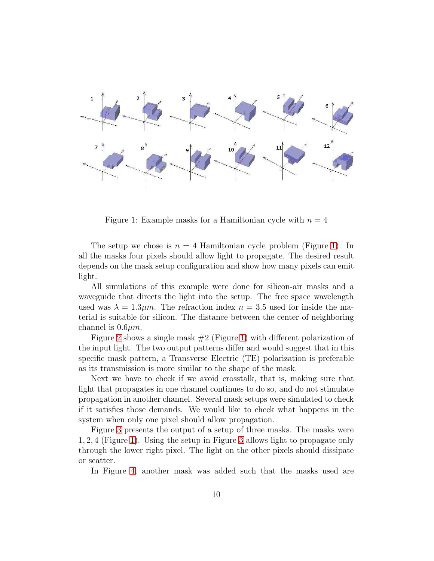<span id="page-9-0"></span>

Figure 1: Example masks for a Hamiltonian cycle with  $n = 4$ 

The setup we chose is  $n = 4$  Hamiltonian cycle problem (Figure [1\)](#page-9-0). In all the masks four pixels should allow light to propagate. The desired result depends on the mask setup configuration and show how many pixels can emit light.

All simulations of this example were done for silicon-air masks and a waveguide that directs the light into the setup. The free space wavelength used was  $\lambda = 1.3 \mu m$ . The refraction index  $n = 3.5$  used for inside the material is suitable for silicon. The distance between the center of neighboring channel is  $0.6 \mu m$ .

Figure [2](#page-10-0) shows a single mask  $#2$  (Figure [1\)](#page-9-0) with different polarization of the input light. The two output patterns differ and would suggest that in this specific mask pattern, a Transverse Electric (TE) polarization is preferable as its transmission is more similar to the shape of the mask.

Next we have to check if we avoid crosstalk, that is, making sure that light that propagates in one channel continues to do so, and do not stimulate propagation in another channel. Several mask setups were simulated to check if it satisfies those demands. We would like to check what happens in the system when only one pixel should allow propagation.

Figure [3](#page-11-0) presents the output of a setup of three masks. The masks were 1, 2, 4 (Figure [1\)](#page-9-0). Using the setup in Figure [3](#page-11-0) allows light to propagate only through the lower right pixel. The light on the other pixels should dissipate or scatter.

In Figure [4,](#page-12-0) another mask was added such that the masks used are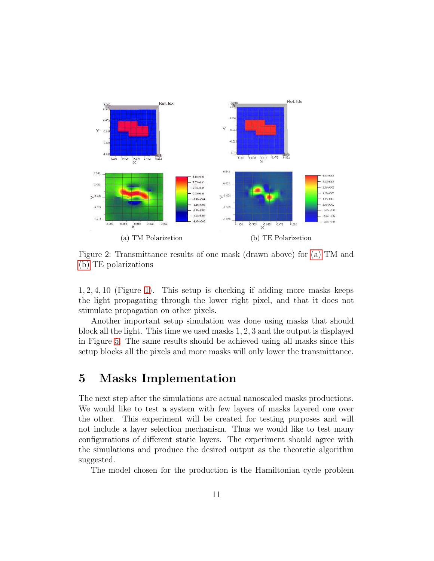<span id="page-10-1"></span><span id="page-10-0"></span>

<span id="page-10-2"></span>Figure 2: Transmittance results of one mask (drawn above) for [\(a\)](#page-10-1) TM and [\(b\)](#page-10-2) TE polarizations

1, 2, 4, 10 (Figure [1\)](#page-9-0). This setup is checking if adding more masks keeps the light propagating through the lower right pixel, and that it does not stimulate propagation on other pixels.

Another important setup simulation was done using masks that should block all the light. This time we used masks 1, 2, 3 and the output is displayed in Figure [5.](#page-13-0) The same results should be achieved using all masks since this setup blocks all the pixels and more masks will only lower the transmittance.

## 5 Masks Implementation

The next step after the simulations are actual nanoscaled masks productions. We would like to test a system with few layers of masks layered one over the other. This experiment will be created for testing purposes and will not include a layer selection mechanism. Thus we would like to test many configurations of different static layers. The experiment should agree with the simulations and produce the desired output as the theoretic algorithm suggested.

The model chosen for the production is the Hamiltonian cycle problem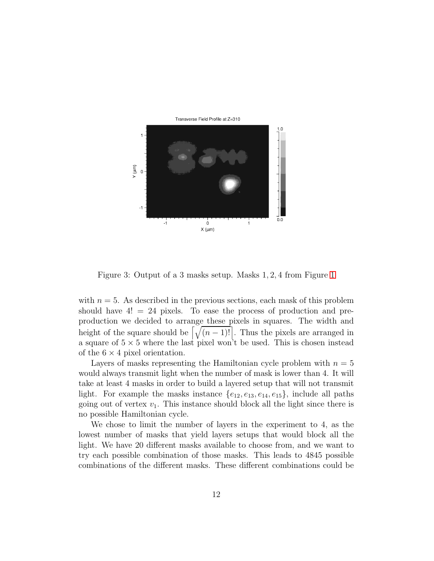<span id="page-11-0"></span>

Figure 3: Output of a 3 masks setup. Masks 1, 2, 4 from Figure [1](#page-9-0)

with  $n = 5$ . As described in the previous sections, each mask of this problem should have  $4! = 24$  pixels. To ease the process of production and preproduction we decided to arrange these pixels in squares. The width and height of the square should be  $\left[\sqrt{(n-1)!}\right]$ . Thus the pixels are arranged in a square of  $5 \times 5$  where the last pixel won't be used. This is chosen instead of the  $6 \times 4$  pixel orientation.

Layers of masks representing the Hamiltonian cycle problem with  $n = 5$ would always transmit light when the number of mask is lower than 4. It will take at least 4 masks in order to build a layered setup that will not transmit light. For example the masks instance  $\{e_{12}, e_{13}, e_{14}, e_{15}\}$ , include all paths going out of vertex  $v_1$ . This instance should block all the light since there is no possible Hamiltonian cycle.

We chose to limit the number of layers in the experiment to 4, as the lowest number of masks that yield layers setups that would block all the light. We have 20 different masks available to choose from, and we want to try each possible combination of those masks. This leads to 4845 possible combinations of the different masks. These different combinations could be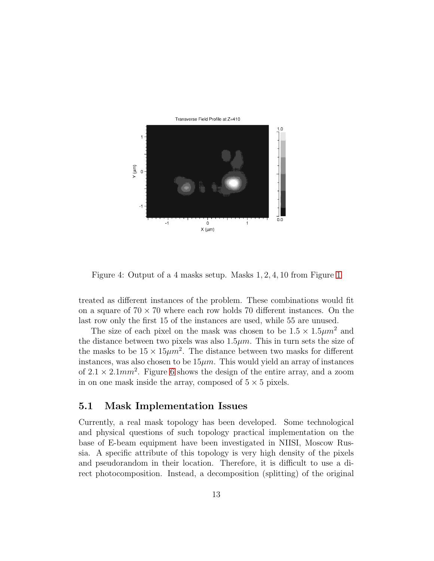<span id="page-12-0"></span>

Figure 4: Output of a 4 masks setup. Masks 1, 2, 4, 10 from Figure [1](#page-9-0)

treated as different instances of the problem. These combinations would fit on a square of  $70 \times 70$  where each row holds 70 different instances. On the last row only the first 15 of the instances are used, while 55 are unused.

The size of each pixel on the mask was chosen to be  $1.5 \times 1.5 \mu m^2$  and the distance between two pixels was also  $1.5\mu m$ . This in turn sets the size of the masks to be  $15 \times 15 \mu m^2$ . The distance between two masks for different instances, was also chosen to be  $15\mu m$ . This would yield an array of instances of  $2.1 \times 2.1 \, \text{mm}^2$ . Figure [6](#page-13-1) shows the design of the entire array, and a zoom in on one mask inside the array, composed of  $5 \times 5$  pixels.

### 5.1 Mask Implementation Issues

Currently, a real mask topology has been developed. Some technological and physical questions of such topology practical implementation on the base of E-beam equipment have been investigated in NIISI, Moscow Russia. A specific attribute of this topology is very high density of the pixels and pseudorandom in their location. Therefore, it is difficult to use a direct photocomposition. Instead, a decomposition (splitting) of the original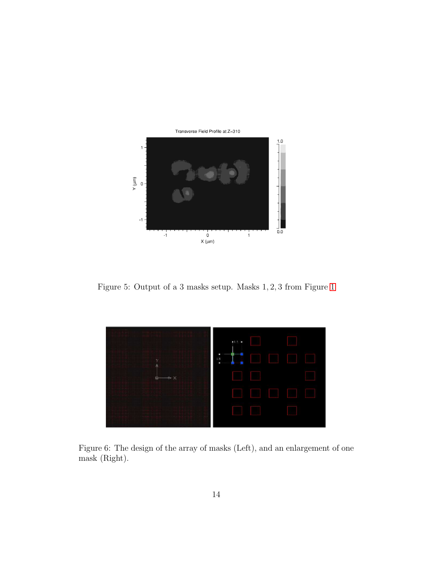<span id="page-13-0"></span>

Figure 5: Output of a 3 masks setup. Masks 1, 2, 3 from Figure [1](#page-9-0)

<span id="page-13-1"></span>

Figure 6: The design of the array of masks (Left), and an enlargement of one mask (Right).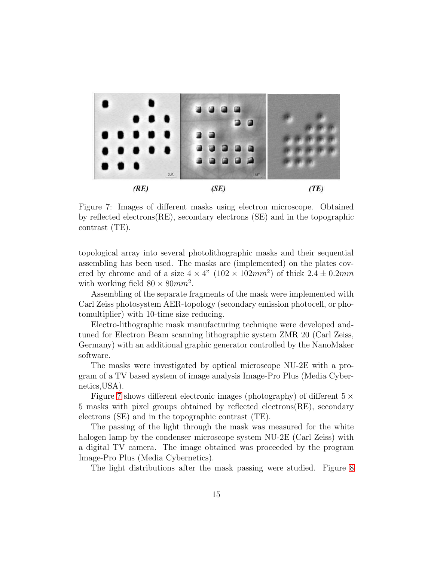<span id="page-14-0"></span>

Figure 7: Images of different masks using electron microscope. Obtained by reflected electrons(RE), secondary electrons (SE) and in the topographic contrast (TE).

topological array into several photolithographic masks and their sequential assembling has been used. The masks are (implemented) on the plates covered by chrome and of a size  $4 \times 4$ "  $(102 \times 102 \text{mm}^2)$  of thick  $2.4 \pm 0.2 \text{mm}$ with working field  $80 \times 80 mm^2$ .

Assembling of the separate fragments of the mask were implemented with Carl Zeiss photosystem AER-topology (secondary emission photocell, or photomultiplier) with 10-time size reducing.

Electro-lithographic mask manufacturing technique were developed andtuned for Electron Beam scanning lithographic system ZMR 20 (Carl Zeiss, Germany) with an additional graphic generator controlled by the NanoMaker software.

The masks were investigated by optical microscope NU-2E with a program of a TV based system of image analysis Image-Pro Plus (Media Cybernetics,USA).

Figure [7](#page-14-0) shows different electronic images (photography) of different  $5 \times$ 5 masks with pixel groups obtained by reflected electrons(RE), secondary electrons (SE) and in the topographic contrast (TE).

The passing of the light through the mask was measured for the white halogen lamp by the condenser microscope system NU-2E (Carl Zeiss) with a digital TV camera. The image obtained was proceeded by the program Image-Pro Plus (Media Cybernetics).

The light distributions after the mask passing were studied. Figure [8](#page-15-0)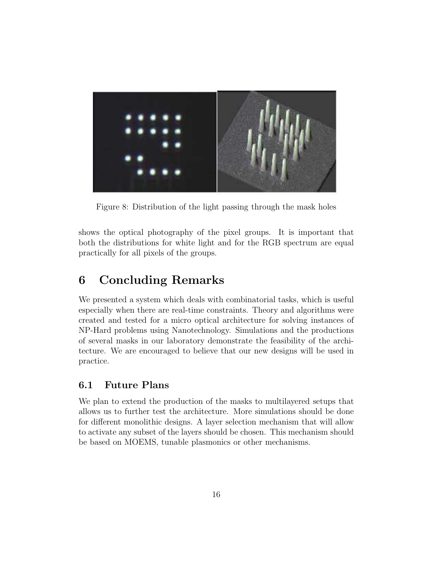<span id="page-15-0"></span>

Figure 8: Distribution of the light passing through the mask holes

shows the optical photography of the pixel groups. It is important that both the distributions for white light and for the RGB spectrum are equal practically for all pixels of the groups.

## 6 Concluding Remarks

We presented a system which deals with combinatorial tasks, which is useful especially when there are real-time constraints. Theory and algorithms were created and tested for a micro optical architecture for solving instances of NP-Hard problems using Nanotechnology. Simulations and the productions of several masks in our laboratory demonstrate the feasibility of the architecture. We are encouraged to believe that our new designs will be used in practice.

### 6.1 Future Plans

We plan to extend the production of the masks to multilayered setups that allows us to further test the architecture. More simulations should be done for different monolithic designs. A layer selection mechanism that will allow to activate any subset of the layers should be chosen. This mechanism should be based on MOEMS, tunable plasmonics or other mechanisms.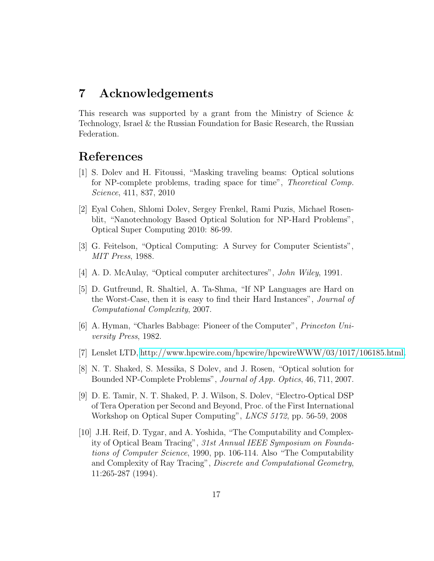## 7 Acknowledgements

This research was supported by a grant from the Ministry of Science & Technology, Israel & the Russian Foundation for Basic Research, the Russian Federation.

## <span id="page-16-0"></span>References

- [1] S. Dolev and H. Fitoussi, "Masking traveling beams: Optical solutions for NP-complete problems, trading space for time", Theoretical Comp. Science, 411, 837, 2010
- <span id="page-16-1"></span>[2] Eyal Cohen, Shlomi Dolev, Sergey Frenkel, Rami Puzis, Michael Rosenblit, "Nanotechnology Based Optical Solution for NP-Hard Problems", Optical Super Computing 2010: 86-99.
- <span id="page-16-3"></span><span id="page-16-2"></span>[3] G. Feitelson, "Optical Computing: A Survey for Computer Scientists", MIT Press, 1988.
- <span id="page-16-4"></span>[4] A. D. McAulay, "Optical computer architectures", John Wiley, 1991.
- [5] D. Gutfreund, R. Shaltiel, A. Ta-Shma, "If NP Languages are Hard on the Worst-Case, then it is easy to find their Hard Instances", Journal of Computational Complexity, 2007.
- <span id="page-16-6"></span><span id="page-16-5"></span>[6] A. Hyman, "Charles Babbage: Pioneer of the Computer", Princeton University Press, 1982.
- <span id="page-16-7"></span>[7] Lenslet LTD, [http://www.hpcwire.com/hpcwire/hpcwireWWW/03/1017/106185.html.](http://www.hpcwire.com/hpcwire/hpcwireWWW/03/1017/106185.html)
- <span id="page-16-8"></span>[8] N. T. Shaked, S. Messika, S Dolev, and J. Rosen, "Optical solution for Bounded NP-Complete Problems", Journal of App. Optics, 46, 711, 2007.
- [9] D. E. Tamir, N. T. Shaked, P. J. Wilson, S. Dolev, "Electro-Optical DSP of Tera Operation per Second and Beyond, Proc. of the First International Workshop on Optical Super Computing", LNCS 5172, pp. 56-59, 2008
- <span id="page-16-9"></span>[10] J.H. Reif, D. Tygar, and A. Yoshida, "The Computability and Complexity of Optical Beam Tracing", 31st Annual IEEE Symposium on Foundations of Computer Science, 1990, pp. 106-114. Also "The Computability and Complexity of Ray Tracing", Discrete and Computational Geometry, 11:265-287 (1994).